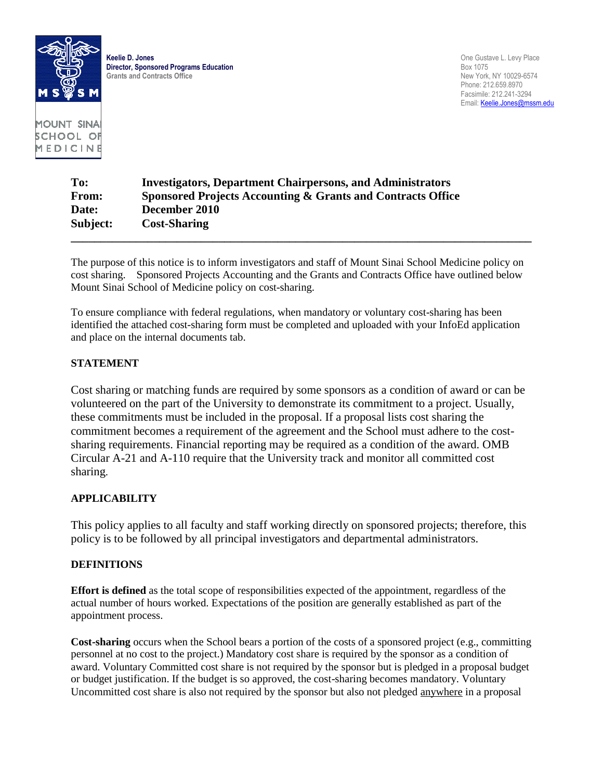

**Director, Sponsored Programs Education**<br> **Grants and Contracts Office**<br> **Crants and Contracts Office**<br> **Director, Sponsored Programs Education Grants and Contracts Office** 

**Keelie D. Jones** One Gustave L. Levy Place Phone: 212.659.8970 Facsimile: 212.241-3294 Email: Keelie.Jones@mssm.edu

MOUNT SINA SCHOOL OF MEDICINE

# **To: Investigators, Department Chairpersons, and Administrators From: Sponsored Projects Accounting & Grants and Contracts Office Date: December 2010 Subject: Cost-Sharing \_\_\_\_\_\_\_\_\_\_\_\_\_\_\_\_\_\_\_\_\_\_\_\_\_\_\_\_\_\_\_\_\_\_\_\_\_\_\_\_\_\_\_\_\_\_\_\_\_\_\_\_\_\_\_\_\_\_\_\_\_\_\_\_\_\_\_\_\_\_\_\_\_\_\_\_\_\_**

The purpose of this notice is to inform investigators and staff of Mount Sinai School Medicine policy on cost sharing. Sponsored Projects Accounting and the Grants and Contracts Office have outlined below Mount Sinai School of Medicine policy on cost-sharing.

To ensure compliance with federal regulations, when mandatory or voluntary cost-sharing has been identified the attached cost-sharing form must be completed and uploaded with your InfoEd application and place on the internal documents tab.

## **STATEMENT**

Cost sharing or matching funds are required by some sponsors as a condition of award or can be volunteered on the part of the University to demonstrate its commitment to a project. Usually, these commitments must be included in the proposal. If a proposal lists cost sharing the commitment becomes a requirement of the agreement and the School must adhere to the costsharing requirements. Financial reporting may be required as a condition of the award. OMB Circular A-21 and A-110 require that the University track and monitor all committed cost sharing.

### **APPLICABILITY**

This policy applies to all faculty and staff working directly on sponsored projects; therefore, this policy is to be followed by all principal investigators and departmental administrators.

### **DEFINITIONS**

**Effort is defined** as the total scope of responsibilities expected of the appointment, regardless of the actual number of hours worked. Expectations of the position are generally established as part of the appointment process.

**Cost-sharing** occurs when the School bears a portion of the costs of a sponsored project (e.g., committing personnel at no cost to the project.) Mandatory cost share is required by the sponsor as a condition of award. Voluntary Committed cost share is not required by the sponsor but is pledged in a proposal budget or budget justification. If the budget is so approved, the cost-sharing becomes mandatory. Voluntary Uncommitted cost share is also not required by the sponsor but also not pledged anywhere in a proposal